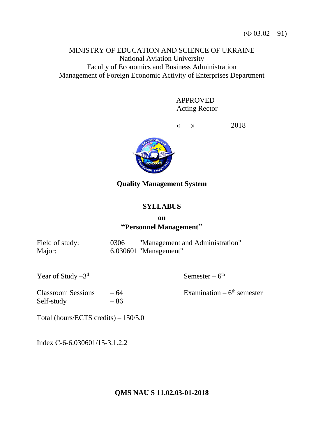# MINISTRY OF EDUCATION AND SCIENCE OF UKRAINE National Aviation University Faculty of Economics and Business Administration Management of Foreign Economic Activity of Enterprises Department

 APPROVED Acting Rector

\_\_\_\_\_\_\_\_\_\_\_\_  $\langle \langle \rangle \rangle$  2018



# **Quality Management System**

# **SYLLABUS**

## **on "Personnel Management"**

| Field of study: | 0306 | "Management and Administration" |
|-----------------|------|---------------------------------|
| Major:          |      | 6.030601 "Management"           |

Year of Study  $-3^d$ 

d Semester –  $6^{\text{th}}$ 

 $Classroom Sessions -64$ Self-study – 86

Examination  $-6$ <sup>th</sup> semester

Total (hours/ECTS credits) – 150/5.0

Index С-6-6.030601/15-3.1.2.2

**QMS NAU S 11.02.03-01-2018**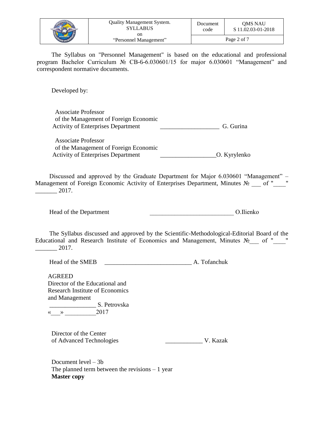|  | Quality Management System.<br><b>SYLLABUS</b><br>on | Document<br>code | <b>OMS NAU</b><br>S 11.02.03-01-2018 |
|--|-----------------------------------------------------|------------------|--------------------------------------|
|  | "Personnel Management"                              | Page 2 of 7      |                                      |

The Syllabus on "Personnel Management" is based on the educational and professional program Bachelor Curriculum № CB-6-6.030601/15 for major 6.030601 "Management" and correspondent normative documents.

Developed by:

Associate Professor of the Management of Foreign Economic Activity of Enterprises Department G. Gurina

Associate Professor of the Management of Foreign Economic Activity of Enterprises Department \_\_\_\_\_\_\_\_\_\_\_\_\_\_\_\_\_\_O. Kyrylenko

Discussed and approved by the Graduate Department for Major 6.030601 "Management" – Management of Foreign Economic Activity of Enterprises Department, Minutes No \_\_\_ of "\_\_\_\_" \_\_\_\_\_\_\_ 2017.

Head of the Department **Exercise 2.1** O.Ilienko

The Syllabus discussed and approved by the Scientific-Methodological-Editorial Board of the Educational and Research Institute of Economics and Management, Minutes No of "\_\_\_ "  $\frac{2017.}{\frac{2017}{201}}$ 

Head of the SMEB A. Tofanchuk

AGREED Director of the Educational and Research Institute of Economics and Management \_\_\_\_\_\_\_\_\_\_\_\_\_\_\_ S. Petrovska

 $\langle \langle \rangle \rangle$  2017

Director of the Center of Advanced Technologies \_\_\_\_\_\_\_\_\_\_\_\_ V. Kazak

Document level – 3b The planned term between the revisions  $-1$  year **Master copy**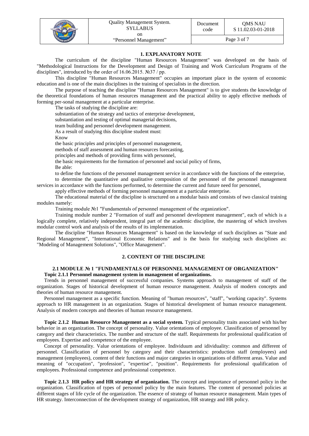|  | <b>Quality Management System.</b><br><b>SYLLABUS</b><br>on | Document<br>code | <b>OMS NAU</b><br>S 11.02.03-01-2018 |
|--|------------------------------------------------------------|------------------|--------------------------------------|
|  | "Personnel Management"                                     | Page 3 of 7      |                                      |

### **1. EXPLANATORY NOTE**

The curriculum of the discipline "Human Resources Management" was developed on the basis of "Methodological Instructions for the Development and Design of Training and Work Curriculum Programs of the disciplines", introduced by the order of 16.06.2015. №37 / pp.

This discipline "Human Resources Management" occupies an important place in the system of economic education and is one of the main disciplines in the training of specialists in the direction.

The purpose of teaching the discipline "Human Resources Management" is to give students the knowledge of the theoretical foundations of human resources management and the practical ability to apply effective methods of forming per-sonal management at a particular enterprise.

The tasks of studying the discipline are:

substantiation of the strategy and tactics of enterprise development,

substantiation and testing of optimal managerial decisions,

team building and personnel development management.

As a result of studying this discipline student must:

Know

the basic principles and principles of personnel management,

methods of staff assessment and human resources forecasting,

principles and methods of providing firms with personnel,

the basic requirements for the formation of personnel and social policy of firms,

Be able:

to define the functions of the personnel management service in accordance with the functions of the enterprise, to determine the quantitative and qualitative composition of the personnel of the personnel management

services in accordance with the functions performed, to determine the current and future need for personnel,

apply effective methods of forming personnel management at a particular enterprise.

The educational material of the discipline is structured on a modular basis and consists of two classical training modules namely:

Training module №1 "Fundamentals of personnel management of the organization".

Training module number 2 "Formation of staff and personnel development management", each of which is a logically complete, relatively independent, integral part of the academic discipline, the mastering of which involves modular control work and analysis of the results of its implementation.

The discipline "Human Resources Management" is based on the knowledge of such disciplines as "State and Regional Management", "International Economic Relations" and is the basis for studying such disciplines as: "Modeling of Management Solutions", "Office Management".

#### **2. CONTENT OF THE DISCIPLINE**

#### **2.1 MODULE № 1 "FUNDAMENTALS OF PERSONNEL MANAGEMENT OF ORGANIZATION" Topic 2.1.1 Personnel management system in management of organizations.**

Trends in personnel management of successful companies. Systems approach to management of staff of the organization. Stages of historical development of human resource management. Analysis of modern concepts and theories of human resource management.

Personnel management as a specific function. Meaning of "human resources", "staff", "working capacity". Systems approach to HR management in an organization. Stages of historical development of human resource management. Analysis of modern concepts and theories of human resource management.

**Topic 2.1.2 Human Resource Management as a social system.** Typical personality traits associated with his/her behavior in an organization. The concept of personality. Value orientations of employee. Classification of personnel by category and their characteristics. The number and structure of the staff. Requirements for professional qualification of employees. Expertise and competence of the employee.

Concept of personality. Value orientations of employee. Individuum and idividuality: common and different of personnel. Classification of personnel by category and their characteristics: production staff (employees) and management (employees), content of their functions and major categories in organizations of different areas. Value and meaning of "occupation", "profession", "expertise", "position". Requirements for professional qualification of employees. Professional competence and professional competence.

**Topic 2.1.3 HR policy and HR strategy of organization.** The concept and importance of personnel policy in the organization. Classification of types of personnel policy by the main features. The content of personnel policies at different stages of life cycle of the organization. The essence of strategy of human resource management. Main types of HR strategy. Interconnection of the development strategy of organization, HR strategy and HR policy.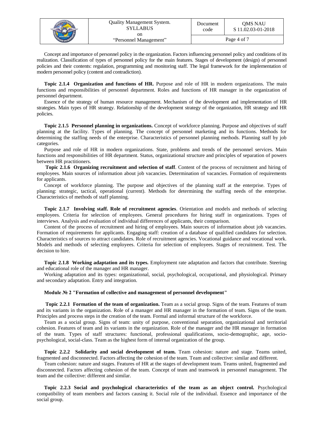|  | <b>Quality Management System.</b><br><b>SYLLABUS</b> | Document<br>code | <b>OMS NAU</b><br>S 11.02.03-01-2018 |
|--|------------------------------------------------------|------------------|--------------------------------------|
|  | on<br>"Personnel Management"                         |                  | Page 4 of 7                          |

Concept and importance of personnel policy in the organization. Factors influencing personnel policy and conditions of its realization. Classification of types of personnel policy for the main features. Stages of development (design) of personnel policies and their contents: regulation, programming and monitoring staff. The legal framework for the implementation of modern personnel policy (content and contradiction).

**Topic 2.1.4 Organization and functions of HR.** Purpose and role of HR in modern organizations. The main functions and responsibilities of personnel department. Roles and functions of HR manager in the organization of personnel department.

Essence of the strategy of human resource management. Mechanism of the development and implementation of HR strategies. Main types of HR strategy. Relationship of the development strategy of the organization, HR strategy and HR policies.

**Topic 2.1.5 Personnel planning in organizations.** Concept of workforce planning. Purpose and objectives of staff planning at the facility. Types of planning. The concept of personnel marketing and its functions. Methods for determining the staffing needs of the enterprise. Characteristics of personnel planning methods. Planning staff by job categories.

Purpose and role of HR in modern organizations. State, problems and trends of the personnel services. Main functions and responsibilities of HR department. Status, organizational structure and principles of separation of powers between HR practitioners.

**Topic 2.1.6 Organizing recruitment and selection of staff**. Content of the process of recruitment and hiring of employees. Main sources of information about job vacancies. Determination of vacancies. Formation of requirements for applicants.

Concept of workforce planning. The purpose and objectives of the planning staff at the enterprise. Types of planning: strategic, tactical, operational (current). Methods for determining the staffing needs of the enterprise. Characteristics of methods of staff planning.

**Topic 2.1.7 Involving staff. Role of recruitment agencies**. Orientation and models and methods of selecting employees. Criteria for selection of employees. General procedures for hiring staff in organizations. Types of interviews. Analysis and evaluation of individual differences of applicants, their comparison.

Content of the process of recruitment and hiring of employees. Main sources of information about job vacancies. Formation of requirements for applicants. Engaging staff: creation of a database of qualified candidates for selection. Characteristics of sources to attract candidates. Role of recruitment agencies. Vocational guidance and vocational work. Models and methods of selecting employees. Criteria for selection of employees. Stages of recruitment. Test. The decision to hire.

**Topic 2.1.8 Working adaptation and its types.** Employment rate adaptation and factors that contribute. Steering and educational role of the manager and HR manager.

Working adaptation and its types: organizational, social, psychological, occupational, and physiological. Primary and secondary adaptation. Entry and integration.

#### **Module № 2 "Formation of collective and management of personnel development"**

**Topic 2.2.1 Formation of the team of organization.** Team as a social group. Signs of the team. Features of team and its variants in the organization. Role of a manager and HR manager in the formation of team. Signs of the team. Principles and process steps in the creation of the team. Formal and informal structure of the workforce.

Team as a social group. Signs of team: unity of purpose, conventional separation, organizational and territorial cohesion. Features of team and its variants in the organization. Role of the manager and the HR manager in formation of the team. Types of staff structures: functional, professional qualifications, socio-demographic, age, sociopsychological, social-class. Team as the highest form of internal organization of the group.

**Topic 2.2.2 Solidarity and social development of team.** Team cohesion: nature and stage. Teams united, fragmented and disconnected. Factors affecting the cohesion of the team. Team and collective: similar and different.

Team cohesion: nature and stages. Features of HR at the stages of development team. Teams united, fragmented and disconnected. Factors affecting cohesion of the team. Concept of team and teamwork in personnel management. The team and the collective: different and similar.

**Topic 2.2.3 Social and psychological characteristics of the team as an object control.** Psychological compatibility of team members and factors causing it. Social role of the individual. Essence and importance of the social group.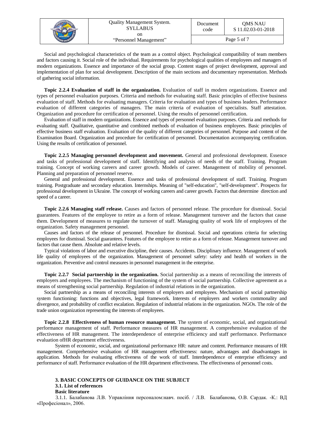|  | <b>Quality Management System.</b><br>SYLLABUS<br>on | Document<br>code | <b>OMS NAU</b><br>S 11.02.03-01-2018 |
|--|-----------------------------------------------------|------------------|--------------------------------------|
|  | "Personnel Management"                              |                  | Page 5 of 7                          |

Social and psychological characteristics of the team as a control object. Psychological compatibility of team members and factors causing it. Social role of the individual. Requirements for psychological qualities of employees and managers of modern organizations. Essence and importance of the social group. Content stages of project development, approval and implementation of plan for social development. Description of the main sections and documentary representation. Methods of gathering social information.

**Topic 2.2.4 Evaluation of staff in the organization.** Evaluation of staff in modern organizations. Essence and types of personnel evaluation purposes. Criteria and methods for evaluating staff. Basic principles of effective business evaluation of staff. Methods for evaluating managers. Criteria for evaluation and types of business leaders. Performance evaluation of different categories of managers. The main criteria of evaluation of specialists. Staff attestation. Organization and procedure for certification of personnel. Using the results of personnel certification.

Evaluation of staff in modern organizations. Essence and types of personnel evaluation purposes. Criteria and methods for evaluating staff. Qualitative, quantitative and combined methods of evaluation of business employees. Basic principles of effective business staff evaluation. Evaluation of the quality of different categories of personnel. Purpose and content of the Examination Board. Organization and procedure for certification of personnel. Documentation accompanying certification. Using the results of certification of personnel.

**Topic 2.2.5 Managing personnel development and movement.** General and professional development. Essence and tasks of professional development of staff. Identifying and analysis of needs of the staff. Training. Program training. Concept of working careers and career growth. Models of career. Management of mobility of personnel. Planning and preparation of personnel reserve.

General and professional development. Essence and tasks of professional development of staff. Training. Program training. Postgraduate and secondary education. Internships. Meaning of "self-education", "self-development". Prospects for professional development in Ukraine. The concept of working careers and career growth. Factors that determine direction and speed of a career.

**Topic 2.2.6 Managing staff release.** Causes and factors of personnel release. The procedure for dismissal. Social guarantees. Features of the employee to retire as a form of release. Management turnover and the factors that cause them. Development of measures to regulate the turnover of staff. Managing quality of work life of employees of the organization. Safety management personnel.

Causes and factors of the release of personnel. Procedure for dismissal. Social and operations criteria for selecting employees for dismissal. Social guarantees. Features of the employee to retire as a form of release. Management turnover and factors that cause them. Absolute and relative levels.

Typical violations of labor and executive discipline, their causes. Accidents. Disciplinary influence. Management of work life quality of employees of the organization. Management of personnel safety: safety and health of workers in the organization. Preventive and control measures in personnel management in the enterprise.

**Topic 2.2.7 Social partnership in the organization.** Social partnership as a means of reconciling the interests of employers and employees. The mechanism of functioning of the system of social partnership. Collective agreement as a means of strengthening social partnership. Regulation of industrial relations in the organization.

Social partnership as a means of reconciling interests of employers and employees. Mechanism of social partnership system functioning: functions and objectives, legal framework. Interests of employers and workers commonality and divergence, and probability of conflict escalation. Regulation of industrial relations in the organization. NGOs. The role of the trade union organization representing the interests of employees.

**Topic 2.2.8 Effectiveness of human resource management.** The system of economic, social, and organizational performance management of staff. Performance measures of HR management. A comprehensive evaluation of the effectiveness of HR management. The interdependence of enterprise efficiency and staff performance. Performance evaluation ofHR department effectiveness.

System of economic, social, and organizational performance HR: nature and content. Performance measures of HR management. Comprehensive evaluation of HR management effectiveness: nature, advantages and disadvantages in application. Methods for evaluating effectiveness of the work of staff. Interdependence of enterprise efficiency and performance of staff. Performance evaluation of the HR department effectiveness. The effectiveness of personnel costs.

#### **3. BASIC CONCEPTS OF GUIDANCE ON THE SUBJECT 3.1. List of references Basic literature**

3.1.1. Балабанова Л.В. Управління персоналом:навч. посіб. / Л.В. Балабанова, О.В. Сардак. -К.: ВД «Професіонал», 2006.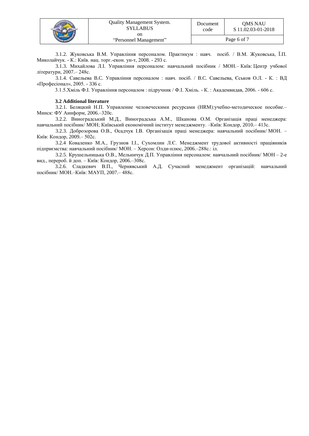|  | Quality Management System.<br><b>SYLLABUS</b><br>on | Document<br>code | OMS NAU<br>S 11.02.03-01-2018 |
|--|-----------------------------------------------------|------------------|-------------------------------|
|  | "Personnel Management"                              |                  | Page 6 of 7                   |

3.1.2. Жуковська В.М. Управління персоналом. Практикум : навч. посіб. / В.М. Жуковська, Ї.П. Миколайчук. - К.: Київ. нац. торг.-екон. ун-т, 2008. - 293 с.

3.1.3. Михайлова Л.І. Управління персоналом: навчальний посібник / МОН.– Київ: Центр учбової літератури, 2007.– 248с.

3.1.4. Савельева B.C. Управління персоналом : навч. посіб. / B.C. Савельева, Єськов О.Л. - К. : ВД «Професіонал», 2005. - 336 с.

3.1.5.Хміль Ф.І. Управління персоналом : підручник / Ф.І. Хміль. - К. : Академвидав, 2006. - 606 с.

#### **3.2 Additional literature**

[3.2.1. Беляцкий Н.П. Управление человеческими ресурсами \(HRM\):учебно-методическое пособие.–](http://www.lib.nau.edu.ua/search/Details.aspx?id=153566&lang=uk-UA) Минск: [ФУ Аинформ,](http://www.lib.nau.edu.ua/search/Details.aspx?id=153566&lang=uk-UA) 2006.–320с.

3.2.2. [Виноградський М.Д., Виноградська А.М., Шканова О.М. Організація праці менеджера:](http://www.lib.nau.edu.ua/search/Details.aspx?id=225980&lang=uk-UA)  навчальний посібник/ [МОН; Київський економічний інститут менеджменту.](http://www.lib.nau.edu.ua/search/Details.aspx?id=225980&lang=uk-UA) –Київ: Кондор, 2010.– 413с.

3.2.3. [Доброзорова О.В., Осадчук І.В. Організація праці менеджера: навчальний посібник/](http://www.lib.nau.edu.ua/search/Details.aspx?id=209775&lang=uk-UA) МОН. – Київ: [Кондор,](http://www.lib.nau.edu.ua/search/Details.aspx?id=209775&lang=uk-UA) 2009.– 502с.

3.2.4 [Коваленко М.А., Грузнов І.І., Сухомлин Л.Є. Менеджмент трудової активності працівників](http://www.lib.nau.edu.ua/search/Details.aspx?id=191882&lang=uk-UA)  [підприємства: навчальний посібник/](http://www.lib.nau.edu.ua/search/Details.aspx?id=191882&lang=uk-UA) МОН. – Херсон: Олди-плюс, 2006.–288с.: іл.

3.2.5. Крушельницька О.В., Мельничук Д.П. Управління персоналом: навчальний посібник/ МОН – 2-е вид., перероб. й доп. – Київ: Кондор, 2006.–308с.

3.2.6. Сладкевич В.П., Чернявський А.Д. Сучасний менеджмент організацій: навчальний посібник/ МОН.–Київ: МАУП, 2007.– 488с.